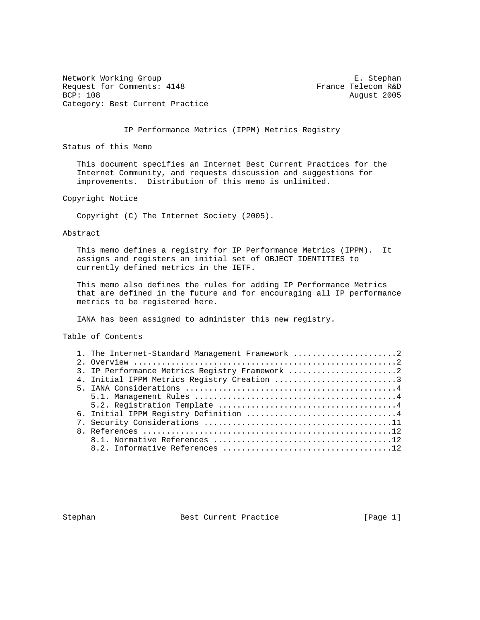Network Working Group **E. Stephan** Request for Comments: 4148 France Telecom R&D<br>BCP: 108 August 2005 Category: Best Current Practice

August 2005

IP Performance Metrics (IPPM) Metrics Registry

Status of this Memo

 This document specifies an Internet Best Current Practices for the Internet Community, and requests discussion and suggestions for improvements. Distribution of this memo is unlimited.

Copyright Notice

Copyright (C) The Internet Society (2005).

Abstract

 This memo defines a registry for IP Performance Metrics (IPPM). It assigns and registers an initial set of OBJECT IDENTITIES to currently defined metrics in the IETF.

 This memo also defines the rules for adding IP Performance Metrics that are defined in the future and for encouraging all IP performance metrics to be registered here.

IANA has been assigned to administer this new registry.

Table of Contents

| 1. The Internet-Standard Management Framework 2 |
|-------------------------------------------------|
|                                                 |
| 3. IP Performance Metrics Registry Framework 2  |
| 4. Initial IPPM Metrics Registry Creation 3     |
|                                                 |
|                                                 |
|                                                 |
| 6. Initial IPPM Registry Definition 4           |
|                                                 |
|                                                 |
|                                                 |
|                                                 |

Stephan Best Current Practice [Page 1]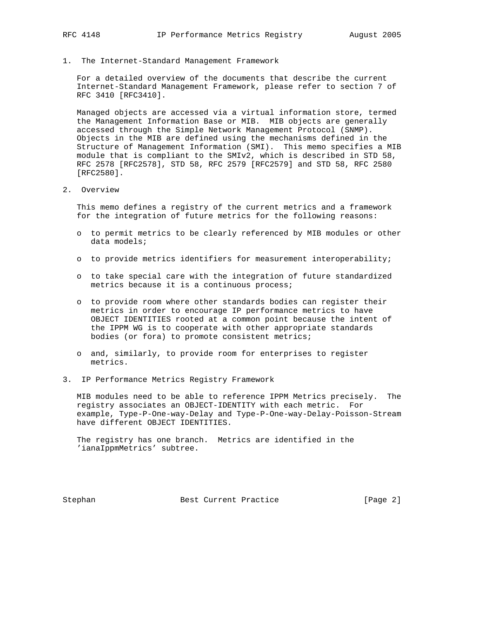1. The Internet-Standard Management Framework

 For a detailed overview of the documents that describe the current Internet-Standard Management Framework, please refer to section 7 of RFC 3410 [RFC3410].

 Managed objects are accessed via a virtual information store, termed the Management Information Base or MIB. MIB objects are generally accessed through the Simple Network Management Protocol (SNMP). Objects in the MIB are defined using the mechanisms defined in the Structure of Management Information (SMI). This memo specifies a MIB module that is compliant to the SMIv2, which is described in STD 58, RFC 2578 [RFC2578], STD 58, RFC 2579 [RFC2579] and STD 58, RFC 2580 [RFC2580].

2. Overview

 This memo defines a registry of the current metrics and a framework for the integration of future metrics for the following reasons:

- o to permit metrics to be clearly referenced by MIB modules or other data models;
- o to provide metrics identifiers for measurement interoperability;
- o to take special care with the integration of future standardized metrics because it is a continuous process;
- o to provide room where other standards bodies can register their metrics in order to encourage IP performance metrics to have OBJECT IDENTITIES rooted at a common point because the intent of the IPPM WG is to cooperate with other appropriate standards bodies (or fora) to promote consistent metrics;
- o and, similarly, to provide room for enterprises to register metrics.
- 3. IP Performance Metrics Registry Framework

 MIB modules need to be able to reference IPPM Metrics precisely. The registry associates an OBJECT-IDENTITY with each metric. For example, Type-P-One-way-Delay and Type-P-One-way-Delay-Poisson-Stream have different OBJECT IDENTITIES.

 The registry has one branch. Metrics are identified in the 'ianaIppmMetrics' subtree.

Stephan Best Current Practice [Page 2]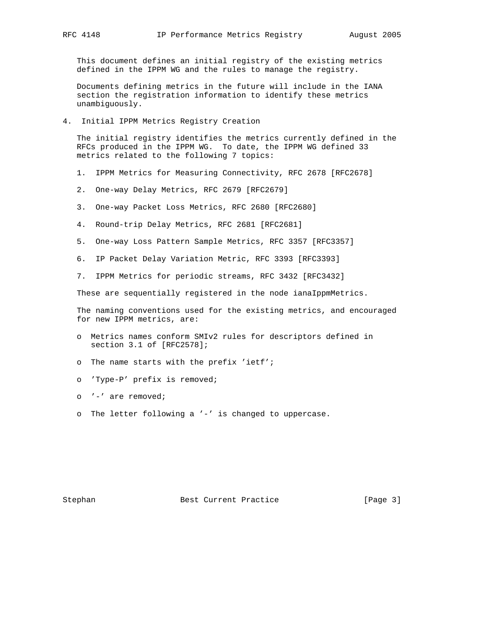This document defines an initial registry of the existing metrics defined in the IPPM WG and the rules to manage the registry.

 Documents defining metrics in the future will include in the IANA section the registration information to identify these metrics unambiguously.

4. Initial IPPM Metrics Registry Creation

 The initial registry identifies the metrics currently defined in the RFCs produced in the IPPM WG. To date, the IPPM WG defined 33 metrics related to the following 7 topics:

- 1. IPPM Metrics for Measuring Connectivity, RFC 2678 [RFC2678]
- 2. One-way Delay Metrics, RFC 2679 [RFC2679]
- 3. One-way Packet Loss Metrics, RFC 2680 [RFC2680]
- 4. Round-trip Delay Metrics, RFC 2681 [RFC2681]
- 5. One-way Loss Pattern Sample Metrics, RFC 3357 [RFC3357]
- 6. IP Packet Delay Variation Metric, RFC 3393 [RFC3393]
- 7. IPPM Metrics for periodic streams, RFC 3432 [RFC3432]

These are sequentially reqistered in the node ianaIppmMetrics.

 The naming conventions used for the existing metrics, and encouraged for new IPPM metrics, are:

- o Metrics names conform SMIv2 rules for descriptors defined in section 3.1 of [RFC2578];
- o The name starts with the prefix 'ietf';
- o 'Type-P' prefix is removed;
- o '-' are removed;
- o The letter following a '-' is changed to uppercase.

Stephan Best Current Practice [Page 3]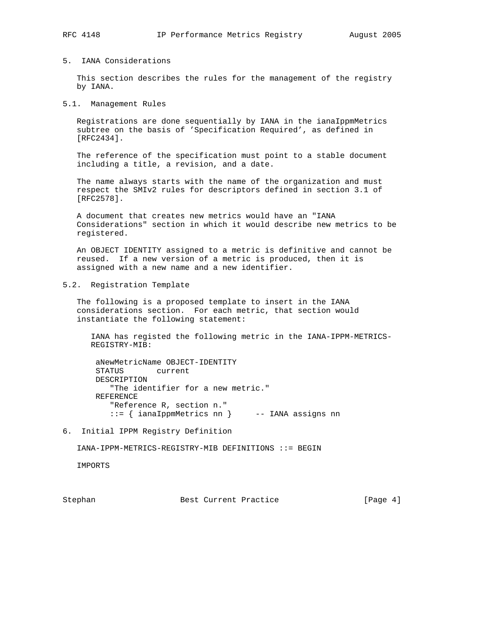### 5. IANA Considerations

 This section describes the rules for the management of the registry by IANA.

#### 5.1. Management Rules

 Registrations are done sequentially by IANA in the ianaIppmMetrics subtree on the basis of 'Specification Required', as defined in [RFC2434].

 The reference of the specification must point to a stable document including a title, a revision, and a date.

 The name always starts with the name of the organization and must respect the SMIv2 rules for descriptors defined in section 3.1 of [RFC2578].

 A document that creates new metrics would have an "IANA Considerations" section in which it would describe new metrics to be registered.

 An OBJECT IDENTITY assigned to a metric is definitive and cannot be reused. If a new version of a metric is produced, then it is assigned with a new name and a new identifier.

# 5.2. Registration Template

 The following is a proposed template to insert in the IANA considerations section. For each metric, that section would instantiate the following statement:

 IANA has registed the following metric in the IANA-IPPM-METRICS- REGISTRY-MIB:

 aNewMetricName OBJECT-IDENTITY STATUS current DESCRIPTION "The identifier for a new metric." REFERENCE "Reference R, section n." ::= { ianaIppmMetrics nn } -- IANA assigns nn

6. Initial IPPM Registry Definition

IANA-IPPM-METRICS-REGISTRY-MIB DEFINITIONS ::= BEGIN

IMPORTS

Stephan Best Current Practice [Page 4]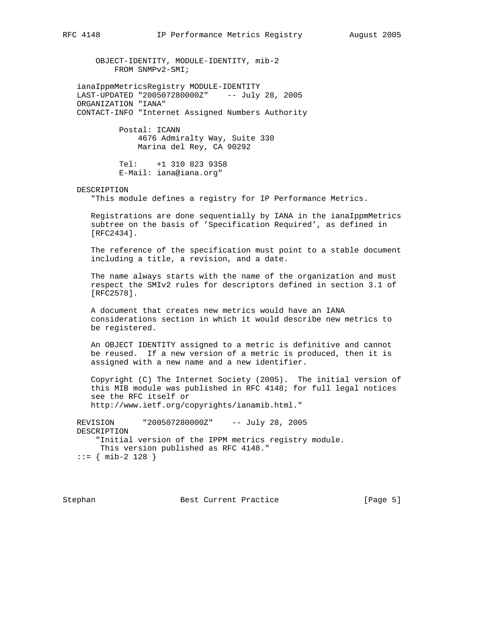OBJECT-IDENTITY, MODULE-IDENTITY, mib-2 FROM SNMPv2-SMI;

 ianaIppmMetricsRegistry MODULE-IDENTITY LAST-UPDATED "200507280000Z" -- July 28, 2005 ORGANIZATION "IANA" CONTACT-INFO "Internet Assigned Numbers Authority

> Postal: ICANN 4676 Admiralty Way, Suite 330 Marina del Rey, CA 90292

 Tel: +1 310 823 9358 E-Mail: iana@iana.org"

#### DESCRIPTION

"This module defines a registry for IP Performance Metrics.

 Registrations are done sequentially by IANA in the ianaIppmMetrics subtree on the basis of 'Specification Required', as defined in [RFC2434].

 The reference of the specification must point to a stable document including a title, a revision, and a date.

 The name always starts with the name of the organization and must respect the SMIv2 rules for descriptors defined in section 3.1 of [RFC2578].

 A document that creates new metrics would have an IANA considerations section in which it would describe new metrics to be registered.

 An OBJECT IDENTITY assigned to a metric is definitive and cannot be reused. If a new version of a metric is produced, then it is assigned with a new name and a new identifier.

 Copyright (C) The Internet Society (2005). The initial version of this MIB module was published in RFC 4148; for full legal notices see the RFC itself or http://www.ietf.org/copyrights/ianamib.html."

 REVISION "200507280000Z" -- July 28, 2005 DESCRIPTION "Initial version of the IPPM metrics registry module. This version published as RFC 4148." ::= { mib-2 128 }

Stephan Best Current Practice [Page 5]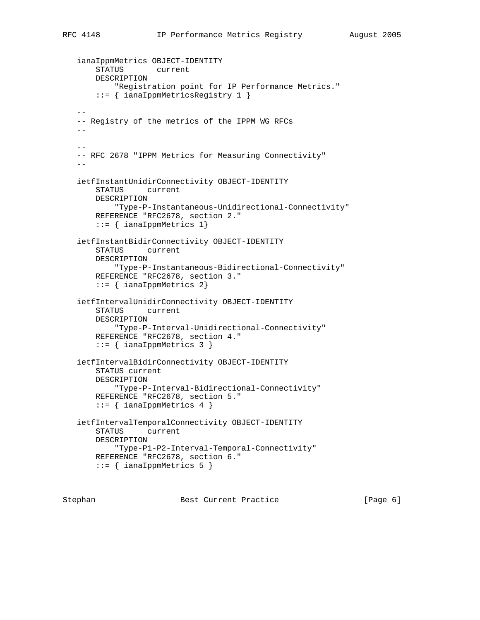```
 ianaIppmMetrics OBJECT-IDENTITY
       STATUS current
       DESCRIPTION
            "Registration point for IP Performance Metrics."
       ::= { ianaIppmMetricsRegistry 1 }
  - -- Registry of the metrics of the IPPM WG RFCs
  - --
   -- RFC 2678 "IPPM Metrics for Measuring Connectivity"
 --
   ietfInstantUnidirConnectivity OBJECT-IDENTITY
       STATUS current
       DESCRIPTION
           "Type-P-Instantaneous-Unidirectional-Connectivity"
       REFERENCE "RFC2678, section 2."
       ::= { ianaIppmMetrics 1}
   ietfInstantBidirConnectivity OBJECT-IDENTITY
       STATUS current
       DESCRIPTION
           "Type-P-Instantaneous-Bidirectional-Connectivity"
       REFERENCE "RFC2678, section 3."
       ::= { ianaIppmMetrics 2}
   ietfIntervalUnidirConnectivity OBJECT-IDENTITY
       STATUS current
       DESCRIPTION
           "Type-P-Interval-Unidirectional-Connectivity"
       REFERENCE "RFC2678, section 4."
       ::= { ianaIppmMetrics 3 }
   ietfIntervalBidirConnectivity OBJECT-IDENTITY
       STATUS current
       DESCRIPTION
           "Type-P-Interval-Bidirectional-Connectivity"
       REFERENCE "RFC2678, section 5."
       ::= { ianaIppmMetrics 4 }
   ietfIntervalTemporalConnectivity OBJECT-IDENTITY
       STATUS current
       DESCRIPTION
           "Type-P1-P2-Interval-Temporal-Connectivity"
       REFERENCE "RFC2678, section 6."
       ::= { ianaIppmMetrics 5 }
```
Stephan Best Current Practice [Page 6]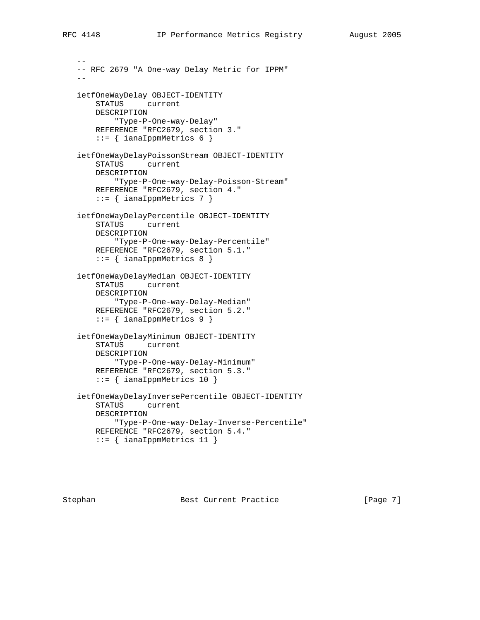-- -- RFC 2679 "A One-way Delay Metric for IPPM"  $$  ietfOneWayDelay OBJECT-IDENTITY STATUS current DESCRIPTION "Type-P-One-way-Delay" REFERENCE "RFC2679, section 3." ::= { ianaIppmMetrics 6 } ietfOneWayDelayPoissonStream OBJECT-IDENTITY STATUS current DESCRIPTION "Type-P-One-way-Delay-Poisson-Stream" REFERENCE "RFC2679, section 4." ::= { ianaIppmMetrics 7 } ietfOneWayDelayPercentile OBJECT-IDENTITY STATUS current DESCRIPTION "Type-P-One-way-Delay-Percentile" REFERENCE "RFC2679, section 5.1." ::= { ianaIppmMetrics 8 } ietfOneWayDelayMedian OBJECT-IDENTITY STATUS current DESCRIPTION "Type-P-One-way-Delay-Median" REFERENCE "RFC2679, section 5.2." ::= { ianaIppmMetrics 9 } ietfOneWayDelayMinimum OBJECT-IDENTITY STATUS current DESCRIPTION "Type-P-One-way-Delay-Minimum" REFERENCE "RFC2679, section 5.3."  $::=$  { ianaIppmMetrics 10 } ietfOneWayDelayInversePercentile OBJECT-IDENTITY STATUS current DESCRIPTION "Type-P-One-way-Delay-Inverse-Percentile" REFERENCE "RFC2679, section 5.4." ::= { ianaIppmMetrics 11 }

Stephan Best Current Practice [Page 7]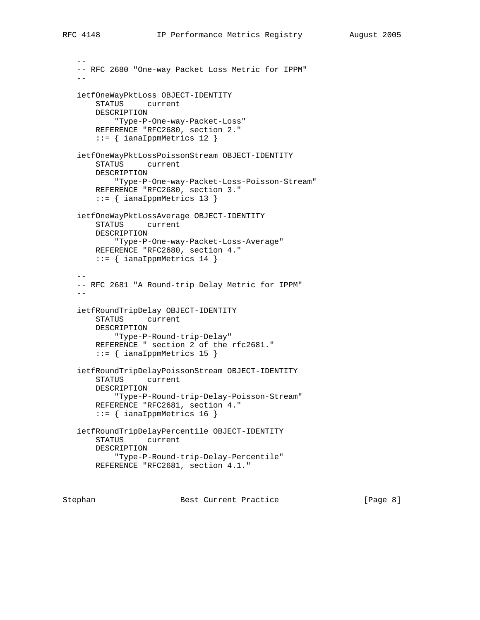```
 --
   -- RFC 2680 "One-way Packet Loss Metric for IPPM"
- ietfOneWayPktLoss OBJECT-IDENTITY
       STATUS current
       DESCRIPTION
           "Type-P-One-way-Packet-Loss"
       REFERENCE "RFC2680, section 2."
        ::= { ianaIppmMetrics 12 }
   ietfOneWayPktLossPoissonStream OBJECT-IDENTITY
       STATUS current
       DESCRIPTION
           "Type-P-One-way-Packet-Loss-Poisson-Stream"
       REFERENCE "RFC2680, section 3."
       ::= { ianaIppmMetrics 13 }
   ietfOneWayPktLossAverage OBJECT-IDENTITY
       STATUS current
       DESCRIPTION
           "Type-P-One-way-Packet-Loss-Average"
       REFERENCE "RFC2680, section 4."
       ::= { ianaIppmMetrics 14 }
 --
   -- RFC 2681 "A Round-trip Delay Metric for IPPM"
 --
   ietfRoundTripDelay OBJECT-IDENTITY
       STATUS current
       DESCRIPTION
           "Type-P-Round-trip-Delay"
       REFERENCE " section 2 of the rfc2681."
       ::= { ianaIppmMetrics 15 }
   ietfRoundTripDelayPoissonStream OBJECT-IDENTITY
       STATUS current
       DESCRIPTION
           "Type-P-Round-trip-Delay-Poisson-Stream"
       REFERENCE "RFC2681, section 4."
       ::= { ianaIppmMetrics 16 }
   ietfRoundTripDelayPercentile OBJECT-IDENTITY
       STATUS current
       DESCRIPTION
            "Type-P-Round-trip-Delay-Percentile"
       REFERENCE "RFC2681, section 4.1."
```
Stephan Best Current Practice [Page 8]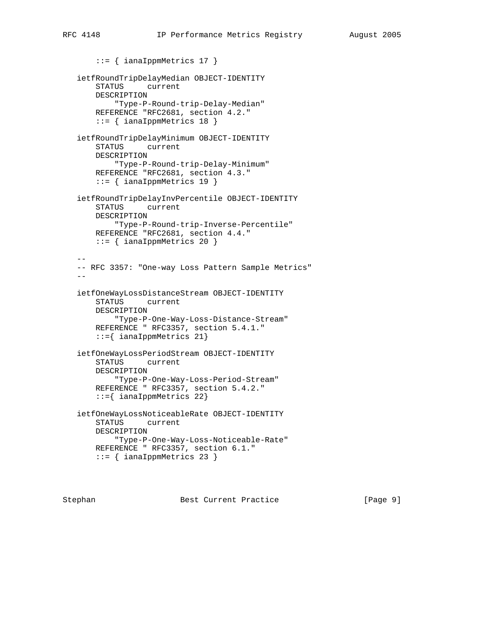::= { ianaIppmMetrics 17 } ietfRoundTripDelayMedian OBJECT-IDENTITY STATUS current DESCRIPTION "Type-P-Round-trip-Delay-Median" REFERENCE "RFC2681, section 4.2." ::= { ianaIppmMetrics 18 } ietfRoundTripDelayMinimum OBJECT-IDENTITY STATUS current DESCRIPTION "Type-P-Round-trip-Delay-Minimum" REFERENCE "RFC2681, section 4.3." ::= { ianaIppmMetrics 19 } ietfRoundTripDelayInvPercentile OBJECT-IDENTITY STATUS current DESCRIPTION "Type-P-Round-trip-Inverse-Percentile" REFERENCE "RFC2681, section 4.4." ::= { ianaIppmMetrics 20 }  $-$  -- RFC 3357: "One-way Loss Pattern Sample Metrics" - ietfOneWayLossDistanceStream OBJECT-IDENTITY STATUS current DESCRIPTION "Type-P-One-Way-Loss-Distance-Stream" REFERENCE " RFC3357, section 5.4.1." ::={ ianaIppmMetrics 21} ietfOneWayLossPeriodStream OBJECT-IDENTITY STATUS current DESCRIPTION "Type-P-One-Way-Loss-Period-Stream" REFERENCE " RFC3357, section 5.4.2." ::={ ianaIppmMetrics 22} ietfOneWayLossNoticeableRate OBJECT-IDENTITY STATUS current DESCRIPTION "Type-P-One-Way-Loss-Noticeable-Rate" REFERENCE " RFC3357, section 6.1." ::= { ianaIppmMetrics 23 }

Stephan Best Current Practice [Page 9]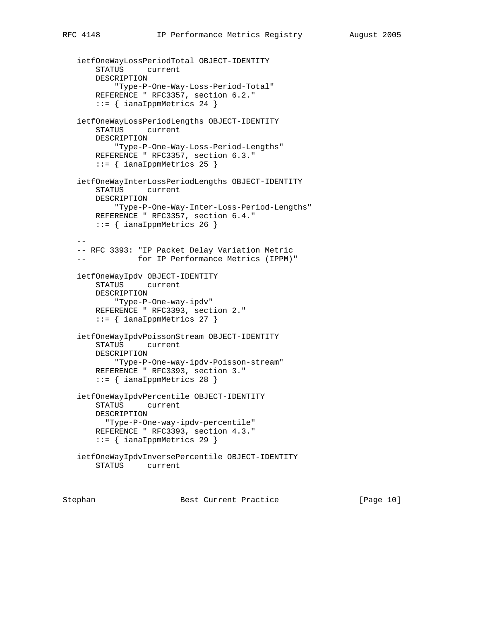```
 ietfOneWayLossPeriodTotal OBJECT-IDENTITY
       STATUS current
       DESCRIPTION
           "Type-P-One-Way-Loss-Period-Total"
       REFERENCE " RFC3357, section 6.2."
       ::= { ianaIppmMetrics 24 }
   ietfOneWayLossPeriodLengths OBJECT-IDENTITY
       STATUS current
       DESCRIPTION
           "Type-P-One-Way-Loss-Period-Lengths"
       REFERENCE " RFC3357, section 6.3."
       ::= { ianaIppmMetrics 25 }
   ietfOneWayInterLossPeriodLengths OBJECT-IDENTITY
       STATUS current
       DESCRIPTION
           "Type-P-One-Way-Inter-Loss-Period-Lengths"
       REFERENCE " RFC3357, section 6.4."
      ::= { ianaIppmMetrics 26 }
 --
   -- RFC 3393: "IP Packet Delay Variation Metric
   -- for IP Performance Metrics (IPPM)"
   ietfOneWayIpdv OBJECT-IDENTITY
       STATUS current
       DESCRIPTION
           "Type-P-One-way-ipdv"
       REFERENCE " RFC3393, section 2."
      ::= { ianaIppmMetrics 27 }
   ietfOneWayIpdvPoissonStream OBJECT-IDENTITY
       STATUS current
       DESCRIPTION
           "Type-P-One-way-ipdv-Poisson-stream"
       REFERENCE " RFC3393, section 3."
       ::= { ianaIppmMetrics 28 }
   ietfOneWayIpdvPercentile OBJECT-IDENTITY
       STATUS current
       DESCRIPTION
         "Type-P-One-way-ipdv-percentile"
       REFERENCE " RFC3393, section 4.3."
       ::= { ianaIppmMetrics 29 }
   ietfOneWayIpdvInversePercentile OBJECT-IDENTITY
       STATUS current
```
Stephan Best Current Practice [Page 10]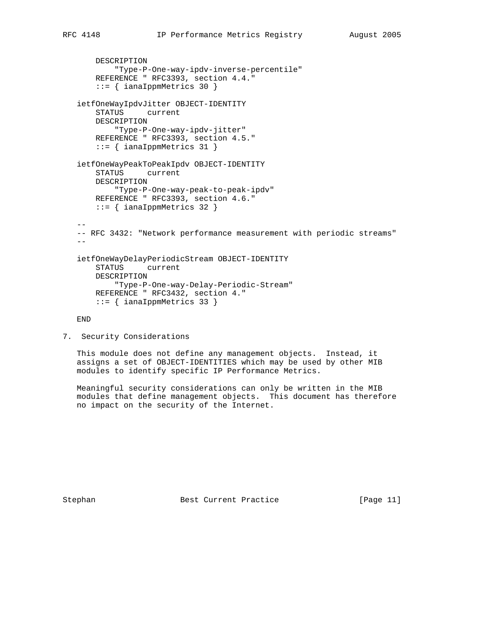```
 DESCRIPTION
           "Type-P-One-way-ipdv-inverse-percentile"
       REFERENCE " RFC3393, section 4.4."
        ::= { ianaIppmMetrics 30 }
   ietfOneWayIpdvJitter OBJECT-IDENTITY
       STATUS current
       DESCRIPTION
           "Type-P-One-way-ipdv-jitter"
       REFERENCE " RFC3393, section 4.5."
       ::= { ianaIppmMetrics 31 }
   ietfOneWayPeakToPeakIpdv OBJECT-IDENTITY
       STATUS current
       DESCRIPTION
           "Type-P-One-way-peak-to-peak-ipdv"
       REFERENCE " RFC3393, section 4.6."
       ::= { ianaIppmMetrics 32 }
 --
   -- RFC 3432: "Network performance measurement with periodic streams"
 --
   ietfOneWayDelayPeriodicStream OBJECT-IDENTITY
       STATUS current
       DESCRIPTION
            "Type-P-One-way-Delay-Periodic-Stream"
       REFERENCE " RFC3432, section 4."
        ::= { ianaIppmMetrics 33 }
   END
```
7. Security Considerations

 This module does not define any management objects. Instead, it assigns a set of OBJECT-IDENTITIES which may be used by other MIB modules to identify specific IP Performance Metrics.

 Meaningful security considerations can only be written in the MIB modules that define management objects. This document has therefore no impact on the security of the Internet.

Stephan Best Current Practice [Page 11]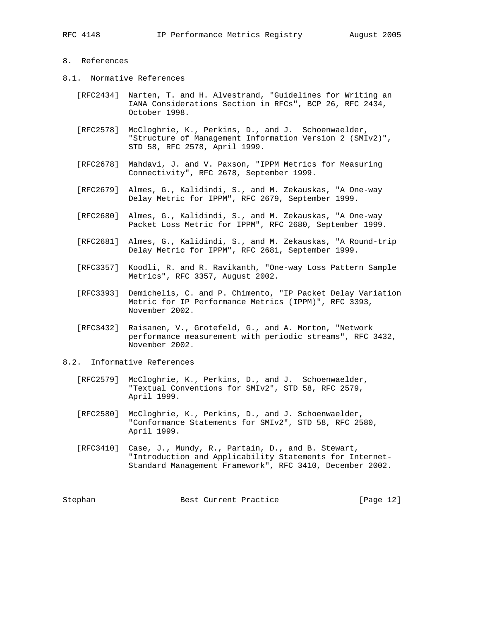# 8. References

- 8.1. Normative References
	- [RFC2434] Narten, T. and H. Alvestrand, "Guidelines for Writing an IANA Considerations Section in RFCs", BCP 26, RFC 2434, October 1998.
	- [RFC2578] McCloghrie, K., Perkins, D., and J. Schoenwaelder, "Structure of Management Information Version 2 (SMIv2)", STD 58, RFC 2578, April 1999.
	- [RFC2678] Mahdavi, J. and V. Paxson, "IPPM Metrics for Measuring Connectivity", RFC 2678, September 1999.
	- [RFC2679] Almes, G., Kalidindi, S., and M. Zekauskas, "A One-way Delay Metric for IPPM", RFC 2679, September 1999.
	- [RFC2680] Almes, G., Kalidindi, S., and M. Zekauskas, "A One-way Packet Loss Metric for IPPM", RFC 2680, September 1999.
	- [RFC2681] Almes, G., Kalidindi, S., and M. Zekauskas, "A Round-trip Delay Metric for IPPM", RFC 2681, September 1999.
	- [RFC3357] Koodli, R. and R. Ravikanth, "One-way Loss Pattern Sample Metrics", RFC 3357, August 2002.
	- [RFC3393] Demichelis, C. and P. Chimento, "IP Packet Delay Variation Metric for IP Performance Metrics (IPPM)", RFC 3393, November 2002.
	- [RFC3432] Raisanen, V., Grotefeld, G., and A. Morton, "Network performance measurement with periodic streams", RFC 3432, November 2002.
- 8.2. Informative References
	- [RFC2579] McCloghrie, K., Perkins, D., and J. Schoenwaelder, "Textual Conventions for SMIv2", STD 58, RFC 2579, April 1999.
	- [RFC2580] McCloghrie, K., Perkins, D., and J. Schoenwaelder, "Conformance Statements for SMIv2", STD 58, RFC 2580, April 1999.
	- [RFC3410] Case, J., Mundy, R., Partain, D., and B. Stewart, "Introduction and Applicability Statements for Internet- Standard Management Framework", RFC 3410, December 2002.

Stephan Best Current Practice [Page 12]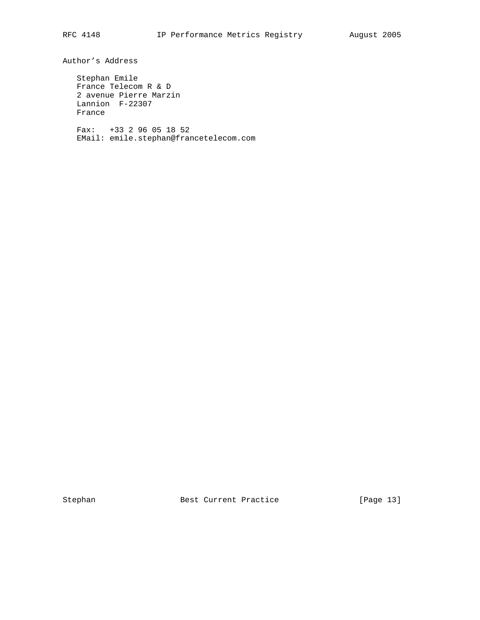Author's Address

 Stephan Emile France Telecom R & D 2 avenue Pierre Marzin Lannion F-22307 France

 Fax: +33 2 96 05 18 52 EMail: emile.stephan@francetelecom.com

Stephan Best Current Practice [Page 13]